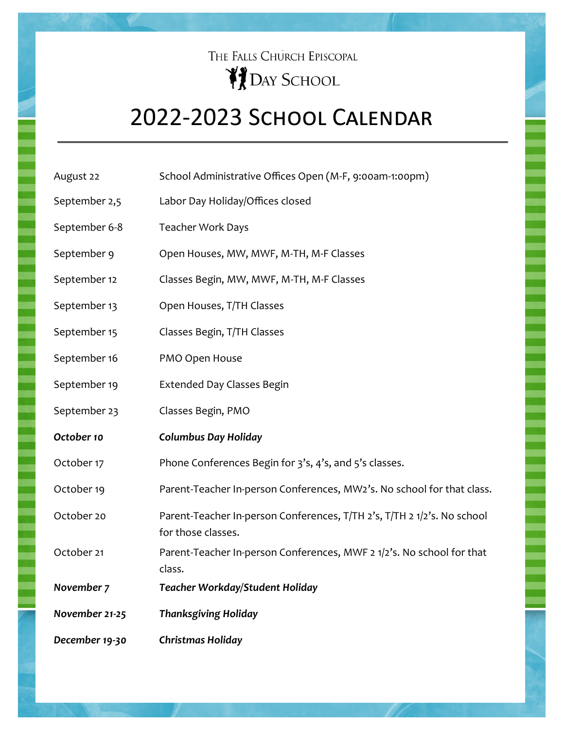## THE FALLS CHURCH EPISCOPAL **PEDAY SCHOOL**

## 2022-2023 School Calendar

| September 2,5 | Labor Day Holiday/Offices closed                                                              |
|---------------|-----------------------------------------------------------------------------------------------|
| September 6-8 | <b>Teacher Work Days</b>                                                                      |
| September 9   | Open Houses, MW, MWF, M-TH, M-F Classes                                                       |
| September 12  | Classes Begin, MW, MWF, M-TH, M-F Classes                                                     |
| September 13  | Open Houses, T/TH Classes                                                                     |
| September 15  | Classes Begin, T/TH Classes                                                                   |
| September 16  | PMO Open House                                                                                |
| September 19  | <b>Extended Day Classes Begin</b>                                                             |
| September 23  | Classes Begin, PMO                                                                            |
| October 10    | <b>Columbus Day Holiday</b>                                                                   |
| October 17    | Phone Conferences Begin for 3's, 4's, and 5's classes.                                        |
| October 19    | Parent-Teacher In-person Conferences, MW2's. No school for that class.                        |
| October 20    | Parent-Teacher In-person Conferences, T/TH 2's, T/TH 2 1/2's. No school<br>for those classes. |

August 22 School Administrative Offices Open (M-F, 9:00am-1:00pm)

October 21 Parent-Teacher In-person Conferences, MWF 2 1/2's. No school for that class.

*November 7 Teacher Workday/Student Holiday*

*November 21-25 Thanksgiving Holiday*

*December 19-30 Christmas Holiday*